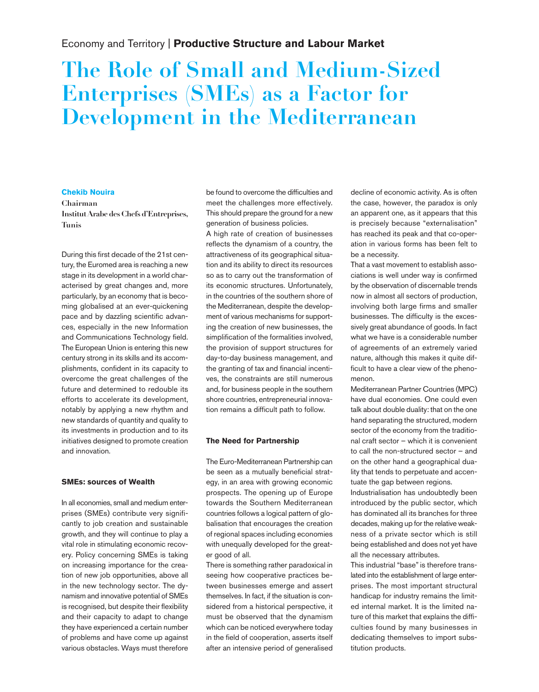# Economy and Territory | **Productive Structure and Labour Market**

# **The Role of Small and Medium-Sized Enterprises (SMEs) as a Factor for Development in the Mediterranean**

# **Chekib Nouira**

**Chairman Institut Arabe des Chefs d'Entreprises, Tunis**

During this first decade of the 21st century, the Euromed area is reaching a new stage in its development in a world characterised by great changes and, more particularly, by an economy that is becoming globalised at an ever-quickening pace and by dazzling scientific advances, especially in the new Information and Communications Technology field. The European Union is entering this new century strong in its skills and its accomplishments, confident in its capacity to overcome the great challenges of the future and determined to redouble its efforts to accelerate its development, notably by applying a new rhythm and new standards of quantity and quality to its investments in production and to its initiatives designed to promote creation and innovation.

#### **SMEs: sources of Wealth**

In all economies, small and medium enterprises (SMEs) contribute very significantly to job creation and sustainable growth, and they will continue to play a vital role in stimulating economic recovery. Policy concerning SMEs is taking on increasing importance for the creation of new job opportunities, above all in the new technology sector. The dynamism and innovative potential of SMEs is recognised, but despite their flexibility and their capacity to adapt to change they have experienced a certain number of problems and have come up against various obstacles. Ways must therefore

be found to overcome the difficulties and meet the challenges more effectively. This should prepare the ground for a new generation of business policies.

A high rate of creation of businesses reflects the dynamism of a country, the attractiveness of its geographical situation and its ability to direct its resources so as to carry out the transformation of its economic structures. Unfortunately, in the countries of the southern shore of the Mediterranean, despite the development of various mechanisms for supporting the creation of new businesses, the simplification of the formalities involved, the provision of support structures for day-to-day business management, and the granting of tax and financial incentives, the constraints are still numerous and, for business people in the southern shore countries, entrepreneurial innovation remains a difficult path to follow.

### **The Need for Partnership**

The Euro-Mediterranean Partnership can be seen as a mutually beneficial strategy, in an area with growing economic prospects. The opening up of Europe towards the Southern Mediterranean countries follows a logical pattern of globalisation that encourages the creation of regional spaces including economies with unequally developed for the greater good of all.

There is something rather paradoxical in seeing how cooperative practices between businesses emerge and assert themselves. In fact, if the situation is considered from a historical perspective, it must be observed that the dynamism which can be noticed everywhere today in the field of cooperation, asserts itself after an intensive period of generalised decline of economic activity. As is often the case, however, the paradox is only an apparent one, as it appears that this is precisely because "externalisation" has reached its peak and that co-operation in various forms has been felt to be a necessity.

That a vast movement to establish associations is well under way is confirmed by the observation of discernable trends now in almost all sectors of production, involving both large firms and smaller businesses. The difficulty is the excessively great abundance of goods. In fact what we have is a considerable number of agreements of an extremely varied nature, although this makes it quite difficult to have a clear view of the phenomenon.

Mediterranean Partner Countries (MPC) have dual economies. One could even talk about double duality: that on the one hand separating the structured, modern sector of the economy from the traditional craft sector – which it is convenient to call the non-structured sector – and on the other hand a geographical duality that tends to perpetuate and accentuate the gap between regions.

Industrialisation has undoubtedly been introduced by the public sector, which has dominated all its branches for three decades, making up for the relative weakness of a private sector which is still being established and does not yet have all the necessary attributes.

This industrial "base"is therefore translated into the establishment of large enterprises. The most important structural handicap for industry remains the limited internal market. It is the limited nature of this market that explains the difficulties found by many businesses in dedicating themselves to import substitution products.